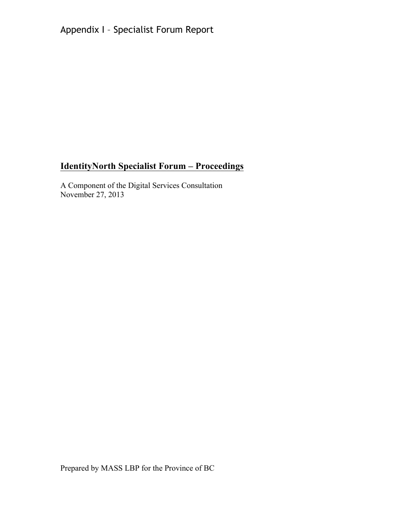Appendix I – Specialist Forum Report

# **IdentityNorth Specialist Forum – Proceedings**

A Component of the Digital Services Consultation November 27, 2013

Prepared by MASS LBP for the Province of BC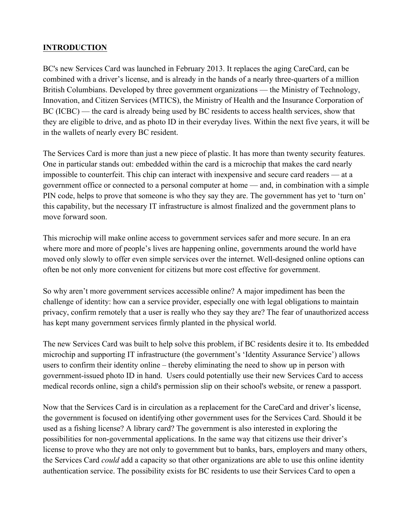# **INTRODUCTION**

BC's new Services Card was launched in February 2013. It replaces the aging CareCard, can be combined with a driver's license, and is already in the hands of a nearly three-quarters of a million British Columbians. Developed by three government organizations — the Ministry of Technology, Innovation, and Citizen Services (MTICS), the Ministry of Health and the Insurance Corporation of BC (ICBC) — the card is already being used by BC residents to access health services, show that they are eligible to drive, and as photo ID in their everyday lives. Within the next five years, it will be in the wallets of nearly every BC resident.

The Services Card is more than just a new piece of plastic. It has more than twenty security features. One in particular stands out: embedded within the card is a microchip that makes the card nearly impossible to counterfeit. This chip can interact with inexpensive and secure card readers — at a government office or connected to a personal computer at home — and, in combination with a simple PIN code, helps to prove that someone is who they say they are. The government has yet to 'turn on' this capability, but the necessary IT infrastructure is almost finalized and the government plans to move forward soon.

This microchip will make online access to government services safer and more secure. In an era where more and more of people's lives are happening online, governments around the world have moved only slowly to offer even simple services over the internet. Well-designed online options can often be not only more convenient for citizens but more cost effective for government.

So why aren't more government services accessible online? A major impediment has been the challenge of identity: how can a service provider, especially one with legal obligations to maintain privacy, confirm remotely that a user is really who they say they are? The fear of unauthorized access has kept many government services firmly planted in the physical world.

The new Services Card was built to help solve this problem, if BC residents desire it to. Its embedded microchip and supporting IT infrastructure (the government's 'Identity Assurance Service') allows users to confirm their identity online – thereby eliminating the need to show up in person with government-issued photo ID in hand. Users could potentially use their new Services Card to access medical records online, sign a child's permission slip on their school's website, or renew a passport.

Now that the Services Card is in circulation as a replacement for the CareCard and driver's license, the government is focused on identifying other government uses for the Services Card. Should it be used as a fishing license? A library card? The government is also interested in exploring the possibilities for non-governmental applications. In the same way that citizens use their driver's license to prove who they are not only to government but to banks, bars, employers and many others, the Services Card *could* add a capacity so that other organizations are able to use this online identity authentication service. The possibility exists for BC residents to use their Services Card to open a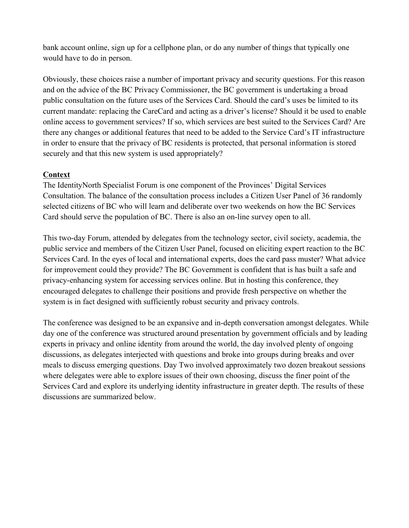bank account online, sign up for a cellphone plan, or do any number of things that typically one would have to do in person.

Obviously, these choices raise a number of important privacy and security questions. For this reason and on the advice of the BC Privacy Commissioner, the BC government is undertaking a broad public consultation on the future uses of the Services Card. Should the card's uses be limited to its current mandate: replacing the CareCard and acting as a driver's license? Should it be used to enable online access to government services? If so, which services are best suited to the Services Card? Are there any changes or additional features that need to be added to the Service Card's IT infrastructure in order to ensure that the privacy of BC residents is protected, that personal information is stored securely and that this new system is used appropriately?

# **Context**

The IdentityNorth Specialist Forum is one component of the Provinces' Digital Services Consultation. The balance of the consultation process includes a Citizen User Panel of 36 randomly selected citizens of BC who will learn and deliberate over two weekends on how the BC Services Card should serve the population of BC. There is also an on-line survey open to all.

This two-day Forum, attended by delegates from the technology sector, civil society, academia, the public service and members of the Citizen User Panel, focused on eliciting expert reaction to the BC Services Card. In the eyes of local and international experts, does the card pass muster? What advice for improvement could they provide? The BC Government is confident that is has built a safe and privacy-enhancing system for accessing services online. But in hosting this conference, they encouraged delegates to challenge their positions and provide fresh perspective on whether the system is in fact designed with sufficiently robust security and privacy controls.

The conference was designed to be an expansive and in-depth conversation amongst delegates. While day one of the conference was structured around presentation by government officials and by leading experts in privacy and online identity from around the world, the day involved plenty of ongoing discussions, as delegates interjected with questions and broke into groups during breaks and over meals to discuss emerging questions. Day Two involved approximately two dozen breakout sessions where delegates were able to explore issues of their own choosing, discuss the finer point of the Services Card and explore its underlying identity infrastructure in greater depth. The results of these discussions are summarized below.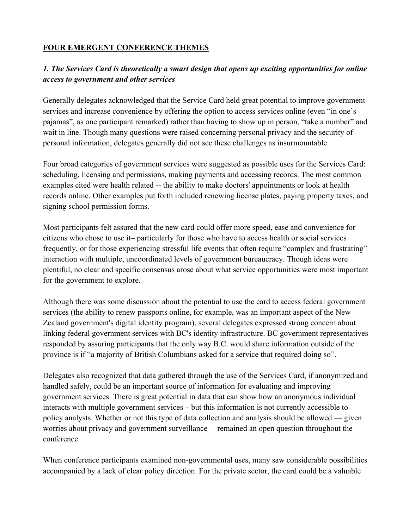# **FOUR EMERGENT CONFERENCE THEMES**

# *1. The Services Card is theoretically a smart design that opens up exciting opportunities for online access to government and other services*

Generally delegates acknowledged that the Service Card held great potential to improve government services and increase convenience by offering the option to access services online (even "in one's pajamas", as one participant remarked) rather than having to show up in person, "take a number" and wait in line. Though many questions were raised concerning personal privacy and the security of personal information, delegates generally did not see these challenges as insurmountable.

Four broad categories of government services were suggested as possible uses for the Services Card: scheduling, licensing and permissions, making payments and accessing records. The most common examples cited were health related -- the ability to make doctors' appointments or look at health records online. Other examples put forth included renewing license plates, paying property taxes, and signing school permission forms.

Most participants felt assured that the new card could offer more speed, ease and convenience for citizens who chose to use it– particularly for those who have to access health or social services frequently, or for those experiencing stressful life events that often require "complex and frustrating" interaction with multiple, uncoordinated levels of government bureaucracy. Though ideas were plentiful, no clear and specific consensus arose about what service opportunities were most important for the government to explore.

Although there was some discussion about the potential to use the card to access federal government services (the ability to renew passports online, for example, was an important aspect of the New Zealand government's digital identity program), several delegates expressed strong concern about linking federal government services with BC's identity infrastructure. BC government representatives responded by assuring participants that the only way B.C. would share information outside of the province is if "a majority of British Columbians asked for a service that required doing so".

Delegates also recognized that data gathered through the use of the Services Card, if anonymized and handled safely, could be an important source of information for evaluating and improving government services. There is great potential in data that can show how an anonymous individual interacts with multiple government services – but this information is not currently accessible to policy analysts. Whether or not this type of data collection and analysis should be allowed — given worries about privacy and government surveillance— remained an open question throughout the conference.

When conference participants examined non-governmental uses, many saw considerable possibilities accompanied by a lack of clear policy direction. For the private sector, the card could be a valuable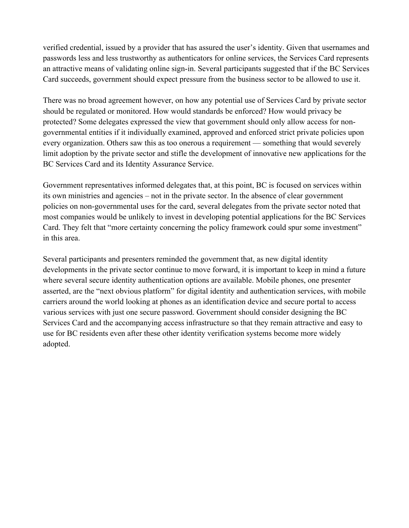verified credential, issued by a provider that has assured the user's identity. Given that usernames and passwords less and less trustworthy as authenticators for online services, the Services Card represents an attractive means of validating online sign-in. Several participants suggested that if the BC Services Card succeeds, government should expect pressure from the business sector to be allowed to use it.

There was no broad agreement however, on how any potential use of Services Card by private sector should be regulated or monitored. How would standards be enforced? How would privacy be protected? Some delegates expressed the view that government should only allow access for nongovernmental entities if it individually examined, approved and enforced strict private policies upon every organization. Others saw this as too onerous a requirement — something that would severely limit adoption by the private sector and stifle the development of innovative new applications for the BC Services Card and its Identity Assurance Service.

Government representatives informed delegates that, at this point, BC is focused on services within its own ministries and agencies – not in the private sector. In the absence of clear government policies on non-governmental uses for the card, several delegates from the private sector noted that most companies would be unlikely to invest in developing potential applications for the BC Services Card. They felt that "more certainty concerning the policy framework could spur some investment" in this area.

Several participants and presenters reminded the government that, as new digital identity developments in the private sector continue to move forward, it is important to keep in mind a future where several secure identity authentication options are available. Mobile phones, one presenter asserted, are the "next obvious platform" for digital identity and authentication services, with mobile carriers around the world looking at phones as an identification device and secure portal to access various services with just one secure password. Government should consider designing the BC Services Card and the accompanying access infrastructure so that they remain attractive and easy to use for BC residents even after these other identity verification systems become more widely adopted.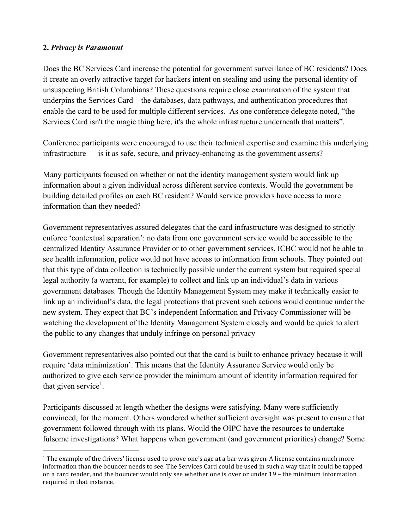### **2.** *Privacy is Paramount*

 

Does the BC Services Card increase the potential for government surveillance of BC residents? Does it create an overly attractive target for hackers intent on stealing and using the personal identity of unsuspecting British Columbians? These questions require close examination of the system that underpins the Services Card – the databases, data pathways, and authentication procedures that enable the card to be used for multiple different services. As one conference delegate noted, "the Services Card isn't the magic thing here, it's the whole infrastructure underneath that matters".

Conference participants were encouraged to use their technical expertise and examine this underlying infrastructure — is it as safe, secure, and privacy-enhancing as the government asserts?

Many participants focused on whether or not the identity management system would link up information about a given individual across different service contexts. Would the government be building detailed profiles on each BC resident? Would service providers have access to more information than they needed?

Government representatives assured delegates that the card infrastructure was designed to strictly enforce 'contextual separation': no data from one government service would be accessible to the centralized Identity Assurance Provider or to other government services. ICBC would not be able to see health information, police would not have access to information from schools. They pointed out that this type of data collection is technically possible under the current system but required special legal authority (a warrant, for example) to collect and link up an individual's data in various government databases. Though the Identity Management System may make it technically easier to link up an individual's data, the legal protections that prevent such actions would continue under the new system. They expect that BC's independent Information and Privacy Commissioner will be watching the development of the Identity Management System closely and would be quick to alert the public to any changes that unduly infringe on personal privacy

Government representatives also pointed out that the card is built to enhance privacy because it will require 'data minimization'. This means that the Identity Assurance Service would only be authorized to give each service provider the minimum amount of identity information required for that given service<sup>1</sup>.

Participants discussed at length whether the designs were satisfying. Many were sufficiently convinced, for the moment. Others wondered whether sufficient oversight was present to ensure that government followed through with its plans. Would the OIPC have the resources to undertake fulsome investigations? What happens when government (and government priorities) change? Some

<sup>&</sup>lt;sup>1</sup> The example of the drivers' license used to prove one's age at a bar was given. A license contains much more information than the bouncer needs to see. The Services Card could be used in such a way that it could be tapped on a card reader, and the bouncer would only see whether one is over or under 19 - the minimum information required in that instance.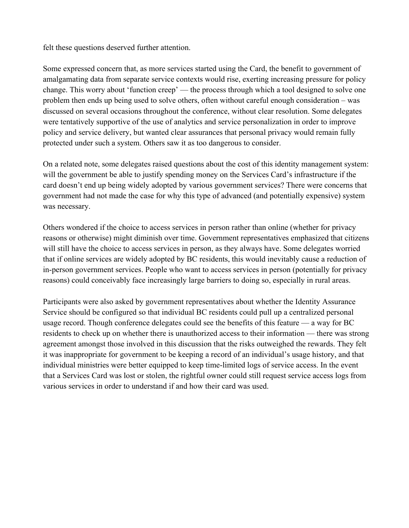felt these questions deserved further attention.

Some expressed concern that, as more services started using the Card, the benefit to government of amalgamating data from separate service contexts would rise, exerting increasing pressure for policy change. This worry about 'function creep' — the process through which a tool designed to solve one problem then ends up being used to solve others, often without careful enough consideration – was discussed on several occasions throughout the conference, without clear resolution. Some delegates were tentatively supportive of the use of analytics and service personalization in order to improve policy and service delivery, but wanted clear assurances that personal privacy would remain fully protected under such a system. Others saw it as too dangerous to consider.

On a related note, some delegates raised questions about the cost of this identity management system: will the government be able to justify spending money on the Services Card's infrastructure if the card doesn't end up being widely adopted by various government services? There were concerns that government had not made the case for why this type of advanced (and potentially expensive) system was necessary.

Others wondered if the choice to access services in person rather than online (whether for privacy reasons or otherwise) might diminish over time. Government representatives emphasized that citizens will still have the choice to access services in person, as they always have. Some delegates worried that if online services are widely adopted by BC residents, this would inevitably cause a reduction of in-person government services. People who want to access services in person (potentially for privacy reasons) could conceivably face increasingly large barriers to doing so, especially in rural areas.

Participants were also asked by government representatives about whether the Identity Assurance Service should be configured so that individual BC residents could pull up a centralized personal usage record. Though conference delegates could see the benefits of this feature — a way for BC residents to check up on whether there is unauthorized access to their information — there was strong agreement amongst those involved in this discussion that the risks outweighed the rewards. They felt it was inappropriate for government to be keeping a record of an individual's usage history, and that individual ministries were better equipped to keep time-limited logs of service access. In the event that a Services Card was lost or stolen, the rightful owner could still request service access logs from various services in order to understand if and how their card was used.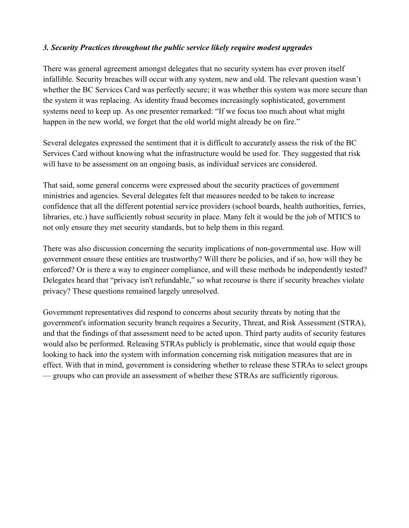### *3. Security Practices throughout the public service likely require modest upgrades*

There was general agreement amongst delegates that no security system has ever proven itself infallible. Security breaches will occur with any system, new and old. The relevant question wasn't whether the BC Services Card was perfectly secure; it was whether this system was more secure than the system it was replacing. As identity fraud becomes increasingly sophisticated, government systems need to keep up. As one presenter remarked: "If we focus too much about what might happen in the new world, we forget that the old world might already be on fire."

Several delegates expressed the sentiment that it is difficult to accurately assess the risk of the BC Services Card without knowing what the infrastructure would be used for. They suggested that risk will have to be assessment on an ongoing basis, as individual services are considered.

That said, some general concerns were expressed about the security practices of government ministries and agencies. Several delegates felt that measures needed to be taken to increase confidence that all the different potential service providers (school boards, health authorities, ferries, libraries, etc.) have sufficiently robust security in place. Many felt it would be the job of MTICS to not only ensure they met security standards, but to help them in this regard.

There was also discussion concerning the security implications of non-governmental use. How will government ensure these entities are trustworthy? Will there be policies, and if so, how will they be enforced? Or is there a way to engineer compliance, and will these methods be independently tested? Delegates heard that "privacy isn't refundable," so what recourse is there if security breaches violate privacy? These questions remained largely unresolved.

Government representatives did respond to concerns about security threats by noting that the government's information security branch requires a Security, Threat, and Risk Assessment (STRA), and that the findings of that assessment need to be acted upon. Third party audits of security features would also be performed. Releasing STRAs publicly is problematic, since that would equip those looking to hack into the system with information concerning risk mitigation measures that are in effect. With that in mind, government is considering whether to release these STRAs to select groups — groups who can provide an assessment of whether these STRAs are sufficiently rigorous.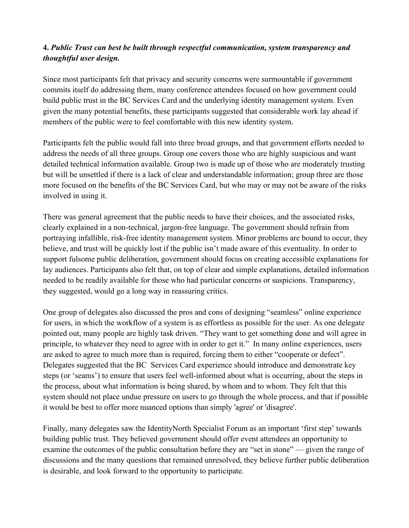# **4.** *Public Trust can best be built through respectful communication, system transparency and thoughtful user design.*

Since most participants felt that privacy and security concerns were surmountable if government commits itself do addressing them, many conference attendees focused on how government could build public trust in the BC Services Card and the underlying identity management system. Even given the many potential benefits, these participants suggested that considerable work lay ahead if members of the public were to feel comfortable with this new identity system.

Participants felt the public would fall into three broad groups, and that government efforts needed to address the needs of all three groups. Group one covers those who are highly suspicious and want detailed technical information available. Group two is made up of those who are moderately trusting but will be unsettled if there is a lack of clear and understandable information; group three are those more focused on the benefits of the BC Services Card, but who may or may not be aware of the risks involved in using it.

There was general agreement that the public needs to have their choices, and the associated risks, clearly explained in a non-technical, jargon-free language. The government should refrain from portraying infallible, risk-free identity management system. Minor problems are bound to occur, they believe, and trust will be quickly lost if the public isn't made aware of this eventuality. In order to support fulsome public deliberation, government should focus on creating accessible explanations for lay audiences. Participants also felt that, on top of clear and simple explanations, detailed information needed to be readily available for those who had particular concerns or suspicions. Transparency, they suggested, would go a long way in reassuring critics.

One group of delegates also discussed the pros and cons of designing "seamless" online experience for users, in which the workflow of a system is as effortless as possible for the user. As one delegate pointed out, many people are highly task driven. "They want to get something done and will agree in principle, to whatever they need to agree with in order to get it." In many online experiences, users are asked to agree to much more than is required, forcing them to either "cooperate or defect". Delegates suggested that the BC Services Card experience should introduce and demonstrate key steps (or 'seams') to ensure that users feel well-informed about what is occurring, about the steps in the process, about what information is being shared, by whom and to whom. They felt that this system should not place undue pressure on users to go through the whole process, and that if possible it would be best to offer more nuanced options than simply 'agree' or 'disagree'.

Finally, many delegates saw the IdentityNorth Specialist Forum as an important 'first step' towards building public trust. They believed government should offer event attendees an opportunity to examine the outcomes of the public consultation before they are "set in stone" — given the range of discussions and the many questions that remained unresolved, they believe further public deliberation is desirable, and look forward to the opportunity to participate.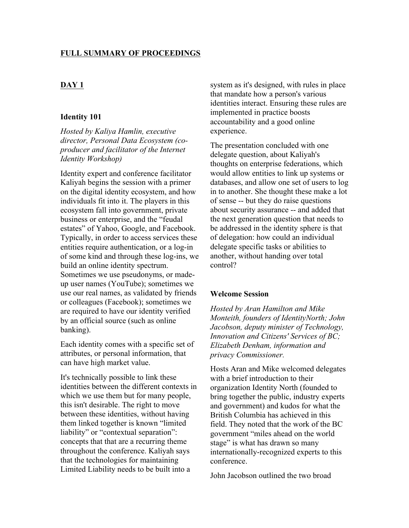#### **FULL SUMMARY OF PROCEEDINGS**

### **DAY 1**

#### **Identity 101**

*Hosted by Kaliya Hamlin, executive director, Personal Data Ecosystem (coproducer and facilitator of the Internet Identity Workshop)*

Identity expert and conference facilitator Kaliyah begins the session with a primer on the digital identity ecosystem, and how individuals fit into it. The players in this ecosystem fall into government, private business or enterprise, and the "feudal estates" of Yahoo, Google, and Facebook. Typically, in order to access services these entities require authentication, or a log-in of some kind and through these log-ins, we build an online identity spectrum. Sometimes we use pseudonyms, or madeup user names (YouTube); sometimes we use our real names, as validated by friends or colleagues (Facebook); sometimes we are required to have our identity verified by an official source (such as online banking).

Each identity comes with a specific set of attributes, or personal information, that can have high market value.

It's technically possible to link these identities between the different contexts in which we use them but for many people, this isn't desirable. The right to move between these identities, without having them linked together is known "limited liability" or "contextual separation": concepts that that are a recurring theme throughout the conference. Kaliyah says that the technologies for maintaining Limited Liability needs to be built into a

system as it's designed, with rules in place that mandate how a person's various identities interact. Ensuring these rules are implemented in practice boosts accountability and a good online experience.

The presentation concluded with one delegate question, about Kaliyah's thoughts on enterprise federations, which would allow entities to link up systems or databases, and allow one set of users to log in to another. She thought these make a lot of sense -- but they do raise questions about security assurance -- and added that the next generation question that needs to be addressed in the identity sphere is that of delegation: how could an individual delegate specific tasks or abilities to another, without handing over total control?

#### **Welcome Session**

*Hosted by Aran Hamilton and Mike Monteith, founders of IdentityNorth; John Jacobson, deputy minister of Technology, Innovation and Citizens' Services of BC; Elizabeth Denham, information and privacy Commissioner.*

Hosts Aran and Mike welcomed delegates with a brief introduction to their organization Identity North (founded to bring together the public, industry experts and government) and kudos for what the British Columbia has achieved in this field. They noted that the work of the BC government "miles ahead on the world stage" is what has drawn so many internationally-recognized experts to this conference.

John Jacobson outlined the two broad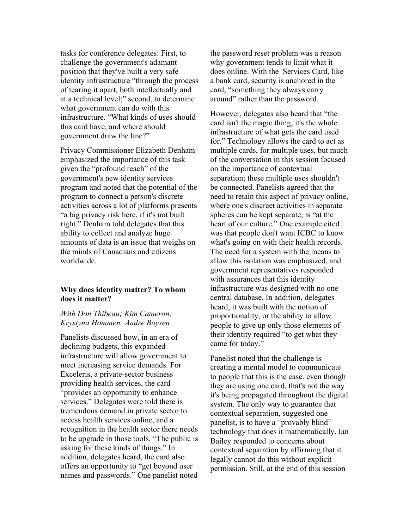tasks for conference delegates: First, to challenge the government's adamant position that they've built a very safe identity infrastructure "through the process of tearing it apart, both intellectually and at a technical level;" second, to determine what government can do with this infrastructure. "What kinds of uses should this card have, and where should government draw the line?"

Privacy Commissioner Elizabeth Denham emphasized the importance of this task given the "profound reach" of the government's new identity services program and noted that the potential of the program to connect a person's discrete activities across a lot of platforms presents "a big privacy risk here, if it's not built right." Denham told delegates that this ability to collect and analyze huge amounts of data is an issue that weighs on the minds of Canadians and citizens worldwide.

#### **Why does identity matter? To whom does it matter?**

#### *With Don Thibeau; Kim Cameron; Krystyna Hommen; Andre Boysen*

Panelists discussed how, in an era of declining budgets, this expanded infrastructure will allow government to meet increasing service demands. For Exceleris, a private-sector business providing health services, the card "provides an opportunity to enhance services." Delegates were told there is tremendous demand in private sector to access health services online, and a recognition in the health sector there needs to be upgrade in those tools. "The public is asking for these kinds of things." In addition, delegates heard, the card also offers an opportunity to "get beyond user names and passwords." One panelist noted

the password reset problem was a reason why government tends to limit what it does online. With the Services Card, like a bank card, security is anchored in the card, "something they always carry around" rather than the password.

However, delegates also heard that "the card isn't the magic thing, it's the whole infrastructure of what gets the card used for." Technology allows the card to act as multiple cards, for multiple uses, but much of the conversation in this session focused on the importance of contextual separation; these multiple uses shouldn't be connected. Panelists agreed that the need to retain this aspect of privacy online, where one's discreet activities in separate spheres can be kept separate, is "at the heart of our culture." One example cited was that people don't want ICBC to know what's going on with their health records. The need for a system with the means to allow this isolation was emphasized, and government representatives responded with assurances that this identity infrastructure was designed with no one central database. In addition, delegates heard, it was built with the notion of proportionality, or the ability to allow people to give up only those elements of their identity required "to get what they came for today."

Panelist noted that the challenge is creating a mental model to communicate to people that this is the case. even though they are using one card, that's not the way it's being propagated throughout the digital system. The only way to guarantee that contextual separation, suggested one panelist, is to have a "provably blind" technology that does it mathematically. Ian Bailey responded to concerns about contextual separation by affirming that it legally cannot do this without explicit permission. Still, at the end of this session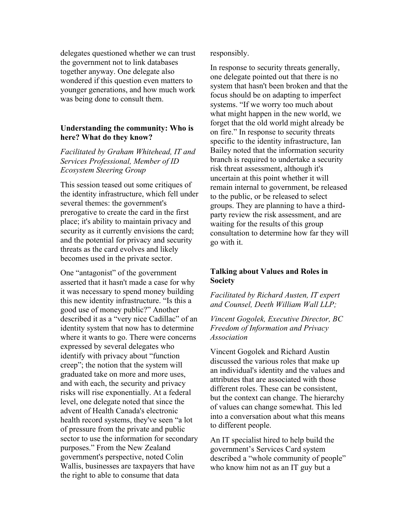delegates questioned whether we can trust the government not to link databases together anyway. One delegate also wondered if this question even matters to younger generations, and how much work was being done to consult them.

#### **Understanding the community: Who is here? What do they know?**

*Facilitated by Graham Whitehead, IT and Services Professional, Member of ID Ecosystem Steering Group*

This session teased out some critiques of the identity infrastructure, which fell under several themes: the government's prerogative to create the card in the first place; it's ability to maintain privacy and security as it currently envisions the card; and the potential for privacy and security threats as the card evolves and likely becomes used in the private sector.

One "antagonist" of the government asserted that it hasn't made a case for why it was necessary to spend money building this new identity infrastructure. "Is this a good use of money public?" Another described it as a "very nice Cadillac" of an identity system that now has to determine where it wants to go. There were concerns expressed by several delegates who identify with privacy about "function creep"; the notion that the system will graduated take on more and more uses, and with each, the security and privacy risks will rise exponentially. At a federal level, one delegate noted that since the advent of Health Canada's electronic health record systems, they've seen "a lot of pressure from the private and public sector to use the information for secondary purposes." From the New Zealand government's perspective, noted Colin Wallis, businesses are taxpayers that have the right to able to consume that data

responsibly.

In response to security threats generally, one delegate pointed out that there is no system that hasn't been broken and that the focus should be on adapting to imperfect systems. "If we worry too much about what might happen in the new world, we forget that the old world might already be on fire." In response to security threats specific to the identity infrastructure, Ian Bailey noted that the information security branch is required to undertake a security risk threat assessment, although it's uncertain at this point whether it will remain internal to government, be released to the public, or be released to select groups. They are planning to have a thirdparty review the risk assessment, and are waiting for the results of this group consultation to determine how far they will go with it.

### **Talking about Values and Roles in Society**

*Facilitated by Richard Austen, IT expert and Counsel, Deeth William Wall LLP;*

*Vincent Gogolek, Executive Director, BC Freedom of Information and Privacy Association*

Vincent Gogolek and Richard Austin discussed the various roles that make up an individual's identity and the values and attributes that are associated with those different roles. These can be consistent, but the context can change. The hierarchy of values can change somewhat. This led into a conversation about what this means to different people.

An IT specialist hired to help build the government's Services Card system described a "whole community of people" who know him not as an IT guy but a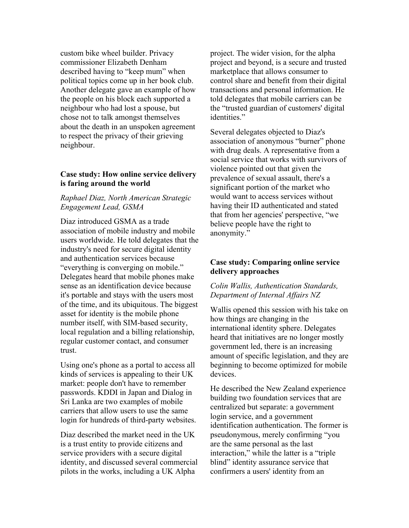custom bike wheel builder. Privacy commissioner Elizabeth Denham described having to "keep mum" when political topics come up in her book club. Another delegate gave an example of how the people on his block each supported a neighbour who had lost a spouse, but chose not to talk amongst themselves about the death in an unspoken agreement to respect the privacy of their grieving neighbour.

#### **Case study: How online service delivery is faring around the world**

#### *Raphael Diaz, North American Strategic Engagement Lead, GSMA*

Diaz introduced GSMA as a trade association of mobile industry and mobile users worldwide. He told delegates that the industry's need for secure digital identity and authentication services because "everything is converging on mobile." Delegates heard that mobile phones make sense as an identification device because it's portable and stays with the users most of the time, and its ubiquitous. The biggest asset for identity is the mobile phone number itself, with SIM-based security, local regulation and a billing relationship, regular customer contact, and consumer trust.

Using one's phone as a portal to access all kinds of services is appealing to their UK market: people don't have to remember passwords. KDDI in Japan and Dialog in Sri Lanka are two examples of mobile carriers that allow users to use the same login for hundreds of third-party websites.

Diaz described the market need in the UK is a trust entity to provide citizens and service providers with a secure digital identity, and discussed several commercial pilots in the works, including a UK Alpha

project. The wider vision, for the alpha project and beyond, is a secure and trusted marketplace that allows consumer to control share and benefit from their digital transactions and personal information. He told delegates that mobile carriers can be the "trusted guardian of customers' digital identities."

Several delegates objected to Diaz's association of anonymous "burner" phone with drug deals. A representative from a social service that works with survivors of violence pointed out that given the prevalence of sexual assault, there's a significant portion of the market who would want to access services without having their ID authenticated and stated that from her agencies' perspective, "we believe people have the right to anonymity."

#### **Case study: Comparing online service delivery approaches**

#### *Colin Wallis, Authentication Standards, Department of Internal Affairs NZ*

Wallis opened this session with his take on how things are changing in the international identity sphere. Delegates heard that initiatives are no longer mostly government led, there is an increasing amount of specific legislation, and they are beginning to become optimized for mobile devices.

He described the New Zealand experience building two foundation services that are centralized but separate: a government login service, and a government identification authentication. The former is pseudonymous, merely confirming "you are the same personal as the last interaction," while the latter is a "triple blind" identity assurance service that confirmers a users' identity from an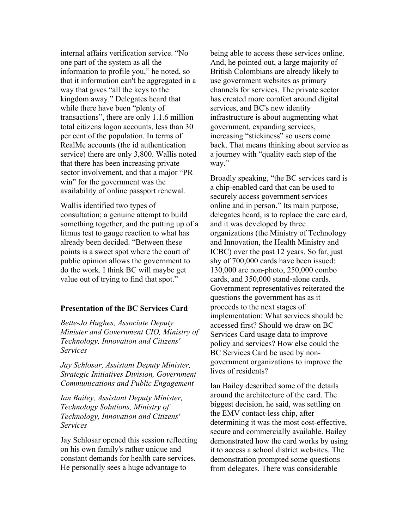internal affairs verification service. "No one part of the system as all the information to profile you," he noted, so that it information can't be aggregated in a way that gives "all the keys to the kingdom away." Delegates heard that while there have been "plenty of transactions", there are only 1.1.6 million total citizens logon accounts, less than 30 per cent of the population. In terms of RealMe accounts (the id authentication service) there are only 3,800. Wallis noted that there has been increasing private sector involvement, and that a major "PR win" for the government was the availability of online passport renewal.

Wallis identified two types of consultation; a genuine attempt to build something together, and the putting up of a litmus test to gauge reaction to what has already been decided. "Between these points is a sweet spot where the court of public opinion allows the government to do the work. I think BC will maybe get value out of trying to find that spot."

#### **Presentation of the BC Services Card**

*Bette-Jo Hughes, Associate Deputy Minister and Government CIO, Ministry of Technology, Innovation and Citizens' Services*

*Jay Schlosar, Assistant Deputy Minister, Strategic Initiatives Division, Government Communications and Public Engagement*

*Ian Bailey, Assistant Deputy Minister, Technology Solutions, Ministry of Technology, Innovation and Citizens' Services*

Jay Schlosar opened this session reflecting on his own family's rather unique and constant demands for health care services. He personally sees a huge advantage to

being able to access these services online. And, he pointed out, a large majority of British Colombians are already likely to use government websites as primary channels for services. The private sector has created more comfort around digital services, and BC's new identity infrastructure is about augmenting what government, expanding services, increasing "stickiness" so users come back. That means thinking about service as a journey with "quality each step of the way."

Broadly speaking, "the BC services card is a chip-enabled card that can be used to securely access government services online and in person." Its main purpose, delegates heard, is to replace the care card, and it was developed by three organizations (the Ministry of Technology and Innovation, the Health Ministry and ICBC) over the past 12 years. So far, just shy of 700,000 cards have been issued: 130,000 are non-photo, 250,000 combo cards, and 350,000 stand-alone cards. Government representatives reiterated the questions the government has as it proceeds to the next stages of implementation: What services should be accessed first? Should we draw on BC Services Card usage data to improve policy and services? How else could the BC Services Card be used by nongovernment organizations to improve the lives of residents?

Ian Bailey described some of the details around the architecture of the card. The biggest decision, he said, was settling on the EMV contact-less chip, after determining it was the most cost-effective, secure and commercially available. Bailey demonstrated how the card works by using it to access a school district websites. The demonstration prompted some questions from delegates. There was considerable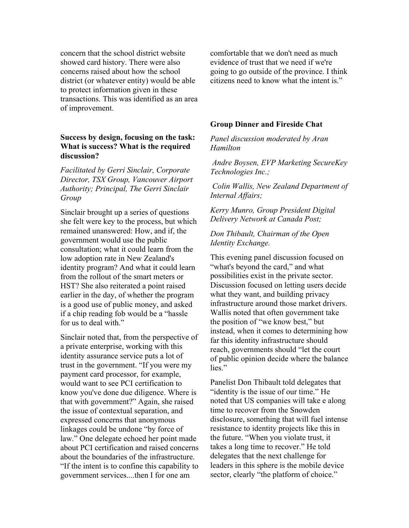concern that the school district website showed card history. There were also concerns raised about how the school district (or whatever entity) would be able to protect information given in these transactions. This was identified as an area of improvement.

#### **Success by design, focusing on the task: What is success? What is the required discussion?**

*Facilitated by Gerri Sinclair, Corporate Director, TSX Group, Vancouver Airport Authority; Principal, The Gerri Sinclair Group*

Sinclair brought up a series of questions she felt were key to the process, but which remained unanswered: How, and if, the government would use the public consultation; what it could learn from the low adoption rate in New Zealand's identity program? And what it could learn from the rollout of the smart meters or HST? She also reiterated a point raised earlier in the day, of whether the program is a good use of public money, and asked if a chip reading fob would be a "hassle for us to deal with."

Sinclair noted that, from the perspective of a private enterprise, working with this identity assurance service puts a lot of trust in the government. "If you were my payment card processor, for example, would want to see PCI certification to know you've done due diligence. Where is that with government?" Again, she raised the issue of contextual separation, and expressed concerns that anonymous linkages could be undone "by force of law." One delegate echoed her point made about PCI certification and raised concerns about the boundaries of the infrastructure. "If the intent is to confine this capability to government services....then I for one am

comfortable that we don't need as much evidence of trust that we need if we're going to go outside of the province. I think citizens need to know what the intent is."

#### **Group Dinner and Fireside Chat**

*Panel discussion moderated by Aran Hamilton*

*Andre Boysen, EVP Marketing SecureKey Technologies Inc.;*

*Colin Wallis, New Zealand Department of Internal Affairs;* 

*Kerry Munro, Group President Digital Delivery Network at Canada Post;* 

#### *Don Thibault, Chairman of the Open Identity Exchange.*

This evening panel discussion focused on "what's beyond the card," and what possibilities exist in the private sector. Discussion focused on letting users decide what they want, and building privacy infrastructure around those market drivers. Wallis noted that often government take the position of "we know best," but instead, when it comes to determining how far this identity infrastructure should reach, governments should "let the court of public opinion decide where the balance lies."

Panelist Don Thibault told delegates that "identity is the issue of our time." He noted that US companies will take e along time to recover from the Snowden disclosure, something that will fuel intense resistance to identity projects like this in the future. "When you violate trust, it takes a long time to recover." He told delegates that the next challenge for leaders in this sphere is the mobile device sector, clearly "the platform of choice."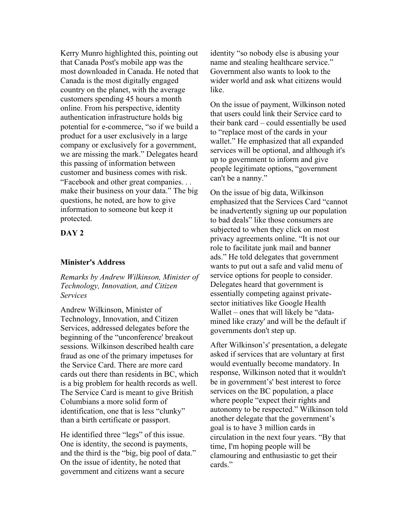Kerry Munro highlighted this, pointing out that Canada Post's mobile app was the most downloaded in Canada. He noted that Canada is the most digitally engaged country on the planet, with the average customers spending 45 hours a month online. From his perspective, identity authentication infrastructure holds big potential for e-commerce, "so if we build a product for a user exclusively in a large company or exclusively for a government, we are missing the mark." Delegates heard this passing of information between customer and business comes with risk. "Facebook and other great companies. . . make their business on your data." The big questions, he noted, are how to give information to someone but keep it protected.

#### **DAY 2**

#### **Minister's Address**

*Remarks by Andrew Wilkinson, Minister of Technology, Innovation, and Citizen Services*

Andrew Wilkinson, Minister of Technology, Innovation, and Citizen Services, addressed delegates before the beginning of the "unconference' breakout sessions. Wilkinson described health care fraud as one of the primary impetuses for the Service Card. There are more card cards out there than residents in BC, which is a big problem for health records as well. The Service Card is meant to give British Columbians a more solid form of identification, one that is less "clunky" than a birth certificate or passport.

He identified three "legs" of this issue. One is identity, the second is payments, and the third is the "big, big pool of data." On the issue of identity, he noted that government and citizens want a secure

identity "so nobody else is abusing your name and stealing healthcare service." Government also wants to look to the wider world and ask what citizens would like.

On the issue of payment, Wilkinson noted that users could link their Service card to their bank card – could essentially be used to "replace most of the cards in your wallet." He emphasized that all expanded services will be optional, and although it's up to government to inform and give people legitimate options, "government can't be a nanny."

On the issue of big data, Wilkinson emphasized that the Services Card "cannot be inadvertently signing up our population to bad deals" like those consumers are subjected to when they click on most privacy agreements online. "It is not our role to facilitate junk mail and banner ads." He told delegates that government wants to put out a safe and valid menu of service options for people to consider. Delegates heard that government is essentially competing against privatesector initiatives like Google Health Wallet – ones that will likely be "datamined like crazy' and will be the default if governments don't step up.

After Wilkinson's' presentation, a delegate asked if services that are voluntary at first would eventually become mandatory. In response, Wilkinson noted that it wouldn't be in government's' best interest to force services on the BC population, a place where people "expect their rights and autonomy to be respected." Wilkinson told another delegate that the government's goal is to have 3 million cards in circulation in the next four years. "By that time, I'm hoping people will be clamouring and enthusiastic to get their cards<sup>"</sup>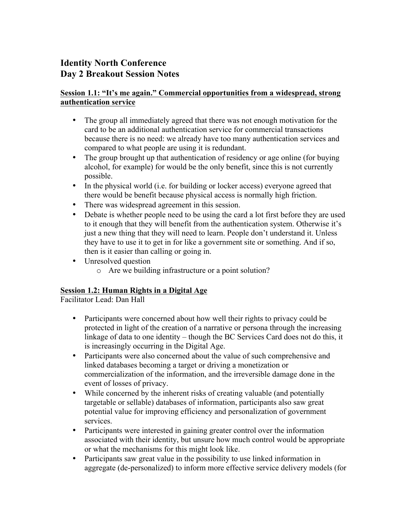# **Identity North Conference Day 2 Breakout Session Notes**

### **Session 1.1: "It's me again." Commercial opportunities from a widespread, strong authentication service**

- The group all immediately agreed that there was not enough motivation for the card to be an additional authentication service for commercial transactions because there is no need: we already have too many authentication services and compared to what people are using it is redundant.
- The group brought up that authentication of residency or age online (for buying alcohol, for example) for would be the only benefit, since this is not currently possible.
- In the physical world (i.e. for building or locker access) everyone agreed that there would be benefit because physical access is normally high friction.
- There was widespread agreement in this session.
- Debate is whether people need to be using the card a lot first before they are used to it enough that they will benefit from the authentication system. Otherwise it's just a new thing that they will need to learn. People don't understand it. Unless they have to use it to get in for like a government site or something. And if so, then is it easier than calling or going in.
- Unresolved question
	- o Are we building infrastructure or a point solution?

# **Session 1.2: Human Rights in a Digital Age**

Facilitator Lead: Dan Hall

- Participants were concerned about how well their rights to privacy could be protected in light of the creation of a narrative or persona through the increasing linkage of data to one identity – though the BC Services Card does not do this, it is increasingly occurring in the Digital Age.
- Participants were also concerned about the value of such comprehensive and linked databases becoming a target or driving a monetization or commercialization of the information, and the irreversible damage done in the event of losses of privacy.
- While concerned by the inherent risks of creating valuable (and potentially targetable or sellable) databases of information, participants also saw great potential value for improving efficiency and personalization of government services.
- Participants were interested in gaining greater control over the information associated with their identity, but unsure how much control would be appropriate or what the mechanisms for this might look like.
- Participants saw great value in the possibility to use linked information in aggregate (de-personalized) to inform more effective service delivery models (for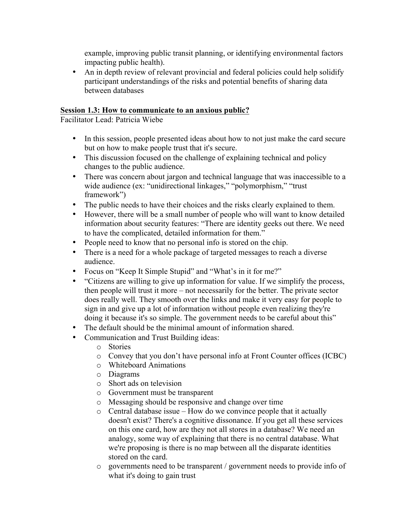example, improving public transit planning, or identifying environmental factors impacting public health).

• An in depth review of relevant provincial and federal policies could help solidify participant understandings of the risks and potential benefits of sharing data between databases

### **Session 1.3: How to communicate to an anxious public?**

Facilitator Lead: Patricia Wiebe

- In this session, people presented ideas about how to not just make the card secure but on how to make people trust that it's secure.
- This discussion focused on the challenge of explaining technical and policy changes to the public audience.
- There was concern about jargon and technical language that was inaccessible to a wide audience (ex: "unidirectional linkages," "polymorphism," "trust framework")
- The public needs to have their choices and the risks clearly explained to them.
- However, there will be a small number of people who will want to know detailed information about security features: "There are identity geeks out there. We need to have the complicated, detailed information for them."
- People need to know that no personal info is stored on the chip.
- There is a need for a whole package of targeted messages to reach a diverse audience.
- Focus on "Keep It Simple Stupid" and "What's in it for me?"
- "Citizens are willing to give up information for value. If we simplify the process, then people will trust it more – not necessarily for the better. The private sector does really well. They smooth over the links and make it very easy for people to sign in and give up a lot of information without people even realizing they're doing it because it's so simple. The government needs to be careful about this"
- The default should be the minimal amount of information shared.
- Communication and Trust Building ideas:
	- o Stories
	- o Convey that you don't have personal info at Front Counter offices (ICBC)
	- o Whiteboard Animations
	- o Diagrams
	- o Short ads on television
	- o Government must be transparent
	- o Messaging should be responsive and change over time
	- $\circ$  Central database issue How do we convince people that it actually doesn't exist? There's a cognitive dissonance. If you get all these services on this one card, how are they not all stores in a database? We need an analogy, some way of explaining that there is no central database. What we're proposing is there is no map between all the disparate identities stored on the card.
	- o governments need to be transparent / government needs to provide info of what it's doing to gain trust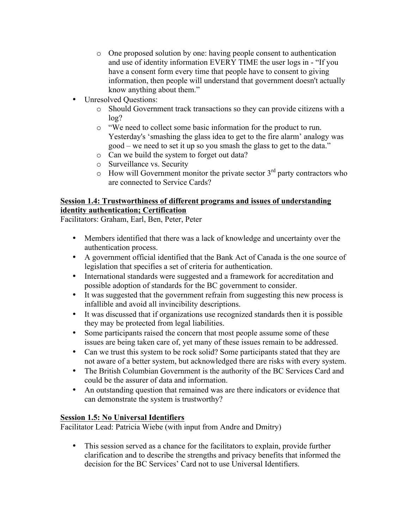- o One proposed solution by one: having people consent to authentication and use of identity information EVERY TIME the user logs in - "If you have a consent form every time that people have to consent to giving information, then people will understand that government doesn't actually know anything about them."
- Unresolved Questions:
	- o Should Government track transactions so they can provide citizens with a log?
	- o "We need to collect some basic information for the product to run. Yesterday's 'smashing the glass idea to get to the fire alarm' analogy was good – we need to set it up so you smash the glass to get to the data."
	- o Can we build the system to forget out data?
	- o Surveillance vs. Security
	- $\circ$  How will Government monitor the private sector 3<sup>rd</sup> party contractors who are connected to Service Cards?

### **Session 1.4: Trustworthiness of different programs and issues of understanding identity authentication; Certification**

Facilitators: Graham, Earl, Ben, Peter, Peter

- Members identified that there was a lack of knowledge and uncertainty over the authentication process.
- A government official identified that the Bank Act of Canada is the one source of legislation that specifies a set of criteria for authentication.
- International standards were suggested and a framework for accreditation and possible adoption of standards for the BC government to consider.
- It was suggested that the government refrain from suggesting this new process is infallible and avoid all invincibility descriptions.
- It was discussed that if organizations use recognized standards then it is possible they may be protected from legal liabilities.
- Some participants raised the concern that most people assume some of these issues are being taken care of, yet many of these issues remain to be addressed.
- Can we trust this system to be rock solid? Some participants stated that they are not aware of a better system, but acknowledged there are risks with every system.
- The British Columbian Government is the authority of the BC Services Card and could be the assurer of data and information.
- An outstanding question that remained was are there indicators or evidence that can demonstrate the system is trustworthy?

### **Session 1.5: No Universal Identifiers**

Facilitator Lead: Patricia Wiebe (with input from Andre and Dmitry)

• This session served as a chance for the facilitators to explain, provide further clarification and to describe the strengths and privacy benefits that informed the decision for the BC Services' Card not to use Universal Identifiers.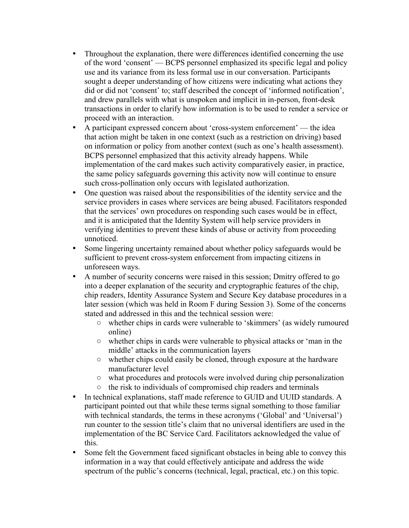- Throughout the explanation, there were differences identified concerning the use of the word 'consent' — BCPS personnel emphasized its specific legal and policy use and its variance from its less formal use in our conversation. Participants sought a deeper understanding of how citizens were indicating what actions they did or did not 'consent' to; staff described the concept of 'informed notification', and drew parallels with what is unspoken and implicit in in-person, front-desk transactions in order to clarify how information is to be used to render a service or proceed with an interaction.
- A participant expressed concern about 'cross-system enforcement' the idea that action might be taken in one context (such as a restriction on driving) based on information or policy from another context (such as one's health assessment). BCPS personnel emphasized that this activity already happens. While implementation of the card makes such activity comparatively easier, in practice, the same policy safeguards governing this activity now will continue to ensure such cross-pollination only occurs with legislated authorization.
- One question was raised about the responsibilities of the identity service and the service providers in cases where services are being abused. Facilitators responded that the services' own procedures on responding such cases would be in effect, and it is anticipated that the Identity System will help service providers in verifying identities to prevent these kinds of abuse or activity from proceeding unnoticed.
- Some lingering uncertainty remained about whether policy safeguards would be sufficient to prevent cross-system enforcement from impacting citizens in unforeseen ways.
- A number of security concerns were raised in this session; Dmitry offered to go into a deeper explanation of the security and cryptographic features of the chip, chip readers, Identity Assurance System and Secure Key database procedures in a later session (which was held in Room F during Session 3). Some of the concerns stated and addressed in this and the technical session were:
	- whether chips in cards were vulnerable to 'skimmers' (as widely rumoured online)
	- whether chips in cards were vulnerable to physical attacks or 'man in the middle' attacks in the communication layers
	- whether chips could easily be cloned, through exposure at the hardware manufacturer level
	- what procedures and protocols were involved during chip personalization
	- the risk to individuals of compromised chip readers and terminals
- In technical explanations, staff made reference to GUID and UUID standards. A participant pointed out that while these terms signal something to those familiar with technical standards, the terms in these acronyms ('Global' and 'Universal') run counter to the session title's claim that no universal identifiers are used in the implementation of the BC Service Card. Facilitators acknowledged the value of this.
- Some felt the Government faced significant obstacles in being able to convey this information in a way that could effectively anticipate and address the wide spectrum of the public's concerns (technical, legal, practical, etc.) on this topic.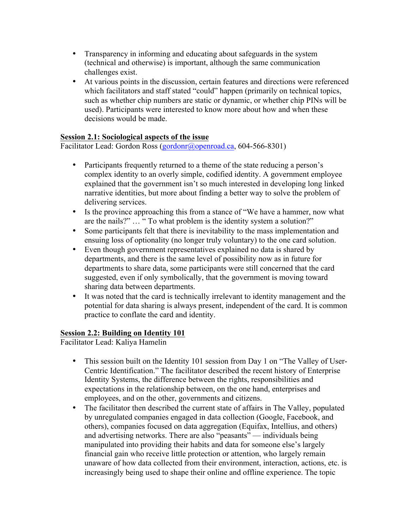- Transparency in informing and educating about safeguards in the system (technical and otherwise) is important, although the same communication challenges exist.
- At various points in the discussion, certain features and directions were referenced which facilitators and staff stated "could" happen (primarily on technical topics, such as whether chip numbers are static or dynamic, or whether chip PINs will be used). Participants were interested to know more about how and when these decisions would be made.

### **Session 2.1: Sociological aspects of the issue**

Facilitator Lead: Gordon Ross (gordonr@openroad.ca, 604-566-8301)

- Participants frequently returned to a theme of the state reducing a person's complex identity to an overly simple, codified identity. A government employee explained that the government isn't so much interested in developing long linked narrative identities, but more about finding a better way to solve the problem of delivering services.
- Is the province approaching this from a stance of "We have a hammer, now what are the nails?" … " To what problem is the identity system a solution?"
- Some participants felt that there is inevitability to the mass implementation and ensuing loss of optionality (no longer truly voluntary) to the one card solution.
- Even though government representatives explained no data is shared by departments, and there is the same level of possibility now as in future for departments to share data, some participants were still concerned that the card suggested, even if only symbolically, that the government is moving toward sharing data between departments.
- It was noted that the card is technically irrelevant to identity management and the potential for data sharing is always present, independent of the card. It is common practice to conflate the card and identity.

# **Session 2.2: Building on Identity 101**

Facilitator Lead: Kaliya Hamelin

- This session built on the Identity 101 session from Day 1 on "The Valley of User-Centric Identification." The facilitator described the recent history of Enterprise Identity Systems, the difference between the rights, responsibilities and expectations in the relationship between, on the one hand, enterprises and employees, and on the other, governments and citizens.
- The facilitator then described the current state of affairs in The Valley, populated by unregulated companies engaged in data collection (Google, Facebook, and others), companies focused on data aggregation (Equifax, Intellius, and others) and advertising networks. There are also "peasants" — individuals being manipulated into providing their habits and data for someone else's largely financial gain who receive little protection or attention, who largely remain unaware of how data collected from their environment, interaction, actions, etc. is increasingly being used to shape their online and offline experience. The topic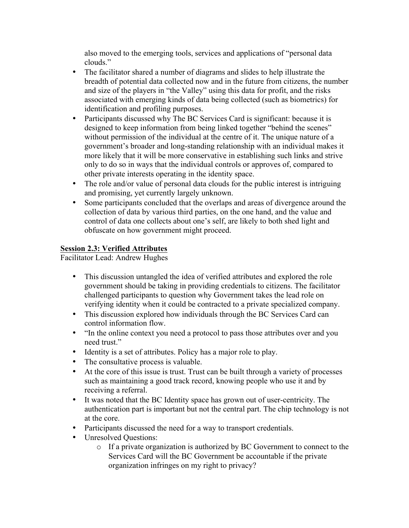also moved to the emerging tools, services and applications of "personal data clouds."

- The facilitator shared a number of diagrams and slides to help illustrate the breadth of potential data collected now and in the future from citizens, the number and size of the players in "the Valley" using this data for profit, and the risks associated with emerging kinds of data being collected (such as biometrics) for identification and profiling purposes.
- Participants discussed why The BC Services Card is significant: because it is designed to keep information from being linked together "behind the scenes" without permission of the individual at the centre of it. The unique nature of a government's broader and long-standing relationship with an individual makes it more likely that it will be more conservative in establishing such links and strive only to do so in ways that the individual controls or approves of, compared to other private interests operating in the identity space.
- The role and/or value of personal data clouds for the public interest is intriguing and promising, yet currently largely unknown.
- Some participants concluded that the overlaps and areas of divergence around the collection of data by various third parties, on the one hand, and the value and control of data one collects about one's self, are likely to both shed light and obfuscate on how government might proceed.

### **Session 2.3: Verified Attributes**

Facilitator Lead: Andrew Hughes

- This discussion untangled the idea of verified attributes and explored the role government should be taking in providing credentials to citizens. The facilitator challenged participants to question why Government takes the lead role on verifying identity when it could be contracted to a private specialized company.
- This discussion explored how individuals through the BC Services Card can control information flow.
- "In the online context you need a protocol to pass those attributes over and you need trust."
- Identity is a set of attributes. Policy has a major role to play.
- The consultative process is valuable.
- At the core of this issue is trust. Trust can be built through a variety of processes such as maintaining a good track record, knowing people who use it and by receiving a referral.
- It was noted that the BC Identity space has grown out of user-centricity. The authentication part is important but not the central part. The chip technology is not at the core.
- Participants discussed the need for a way to transport credentials.
- Unresolved Ouestions:
	- o If a private organization is authorized by BC Government to connect to the Services Card will the BC Government be accountable if the private organization infringes on my right to privacy?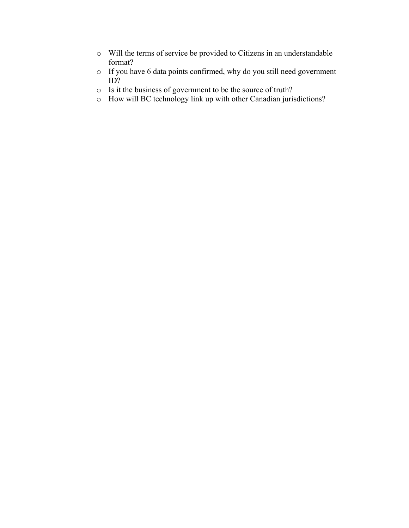- o Will the terms of service be provided to Citizens in an understandable format?
- o If you have 6 data points confirmed, why do you still need government ID?
- o Is it the business of government to be the source of truth?
- o How will BC technology link up with other Canadian jurisdictions?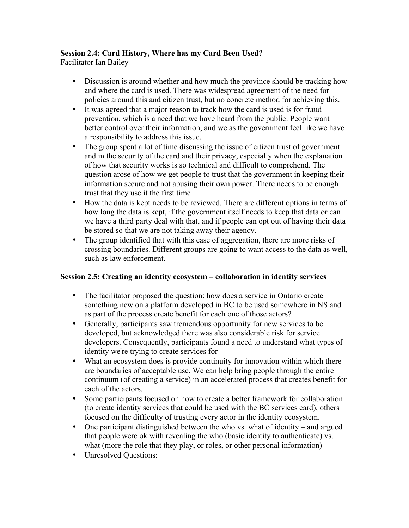### **Session 2.4: Card History, Where has my Card Been Used?**

Facilitator Ian Bailey

- Discussion is around whether and how much the province should be tracking how and where the card is used. There was widespread agreement of the need for policies around this and citizen trust, but no concrete method for achieving this.
- It was agreed that a major reason to track how the card is used is for fraud prevention, which is a need that we have heard from the public. People want better control over their information, and we as the government feel like we have a responsibility to address this issue.
- The group spent a lot of time discussing the issue of citizen trust of government and in the security of the card and their privacy, especially when the explanation of how that security works is so technical and difficult to comprehend. The question arose of how we get people to trust that the government in keeping their information secure and not abusing their own power. There needs to be enough trust that they use it the first time
- How the data is kept needs to be reviewed. There are different options in terms of how long the data is kept, if the government itself needs to keep that data or can we have a third party deal with that, and if people can opt out of having their data be stored so that we are not taking away their agency.
- The group identified that with this ease of aggregation, there are more risks of crossing boundaries. Different groups are going to want access to the data as well, such as law enforcement.

# **Session 2.5: Creating an identity ecosystem – collaboration in identity services**

- The facilitator proposed the question: how does a service in Ontario create something new on a platform developed in BC to be used somewhere in NS and as part of the process create benefit for each one of those actors?
- Generally, participants saw tremendous opportunity for new services to be developed, but acknowledged there was also considerable risk for service developers. Consequently, participants found a need to understand what types of identity we're trying to create services for
- What an ecosystem does is provide continuity for innovation within which there are boundaries of acceptable use. We can help bring people through the entire continuum (of creating a service) in an accelerated process that creates benefit for each of the actors.
- Some participants focused on how to create a better framework for collaboration (to create identity services that could be used with the BC services card), others focused on the difficulty of trusting every actor in the identity ecosystem.
- One participant distinguished between the who vs. what of identity and argued that people were ok with revealing the who (basic identity to authenticate) vs. what (more the role that they play, or roles, or other personal information)
- Unresolved Questions: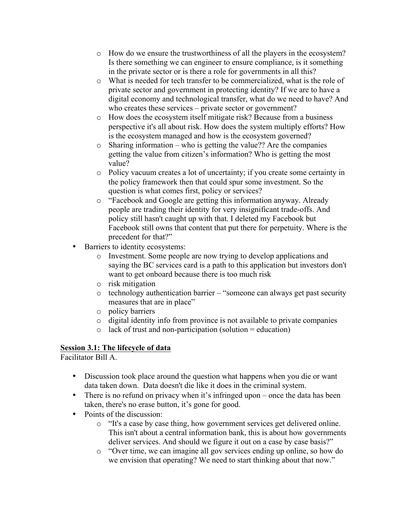- o How do we ensure the trustworthiness of all the players in the ecosystem? Is there something we can engineer to ensure compliance, is it something in the private sector or is there a role for governments in all this?
- o What is needed for tech transfer to be commercialized, what is the role of private sector and government in protecting identity? If we are to have a digital economy and technological transfer, what do we need to have? And who creates these services – private sector or government?
- o How does the ecosystem itself mitigate risk? Because from a business perspective it's all about risk. How does the system multiply efforts? How is the ecosystem managed and how is the ecosystem governed?
- $\circ$  Sharing information who is getting the value?? Are the companies getting the value from citizen's information? Who is getting the most value?
- o Policy vacuum creates a lot of uncertainty; if you create some certainty in the policy framework then that could spur some investment. So the question is what comes first, policy or services?
- o "Facebook and Google are getting this information anyway. Already people are trading their identity for very insignificant trade-offs. And policy still hasn't caught up with that. I deleted my Facebook but Facebook still owns that content that put there for perpetuity. Where is the precedent for that?"
- Barriers to identity ecosystems:
	- o Investment. Some people are now trying to develop applications and saying the BC services card is a path to this application but investors don't want to get onboard because there is too much risk
	- o risk mitigation
	- o technology authentication barrier "someone can always get past security measures that are in place"
	- o policy barriers
	- o digital identity info from province is not available to private companies
	- $\circ$  lack of trust and non-participation (solution = education)

# **Session 3.1: The lifecycle of data**

Facilitator Bill A.

- Discussion took place around the question what happens when you die or want data taken down. Data doesn't die like it does in the criminal system.
- There is no refund on privacy when it's infringed upon once the data has been taken, there's no erase button, it's gone for good.
- Points of the discussion:
	- o "It's a case by case thing, how government services get delivered online. This isn't about a central information bank, this is about how governments deliver services. And should we figure it out on a case by case basis?"
	- o "Over time, we can imagine all gov services ending up online, so how do we envision that operating? We need to start thinking about that now."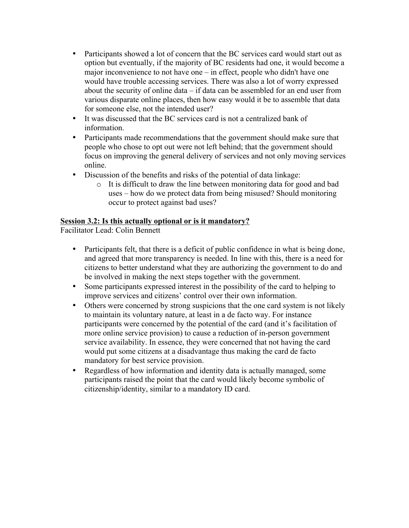- Participants showed a lot of concern that the BC services card would start out as option but eventually, if the majority of BC residents had one, it would become a major inconvenience to not have one – in effect, people who didn't have one would have trouble accessing services. There was also a lot of worry expressed about the security of online data – if data can be assembled for an end user from various disparate online places, then how easy would it be to assemble that data for someone else, not the intended user?
- It was discussed that the BC services card is not a centralized bank of information.
- Participants made recommendations that the government should make sure that people who chose to opt out were not left behind; that the government should focus on improving the general delivery of services and not only moving services online.
- Discussion of the benefits and risks of the potential of data linkage:
	- o It is difficult to draw the line between monitoring data for good and bad uses – how do we protect data from being misused? Should monitoring occur to protect against bad uses?

### **Session 3.2: Is this actually optional or is it mandatory?**

Facilitator Lead: Colin Bennett

- Participants felt, that there is a deficit of public confidence in what is being done, and agreed that more transparency is needed. In line with this, there is a need for citizens to better understand what they are authorizing the government to do and be involved in making the next steps together with the government.
- Some participants expressed interest in the possibility of the card to helping to improve services and citizens' control over their own information.
- Others were concerned by strong suspicions that the one card system is not likely to maintain its voluntary nature, at least in a de facto way. For instance participants were concerned by the potential of the card (and it's facilitation of more online service provision) to cause a reduction of in-person government service availability. In essence, they were concerned that not having the card would put some citizens at a disadvantage thus making the card de facto mandatory for best service provision.
- Regardless of how information and identity data is actually managed, some participants raised the point that the card would likely become symbolic of citizenship/identity, similar to a mandatory ID card.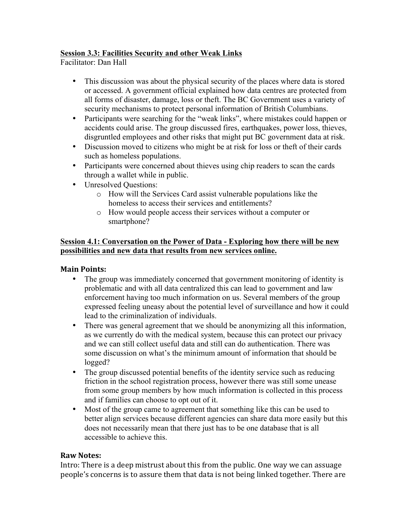### **Session 3.3: Facilities Security and other Weak Links**

Facilitator: Dan Hall

- This discussion was about the physical security of the places where data is stored or accessed. A government official explained how data centres are protected from all forms of disaster, damage, loss or theft. The BC Government uses a variety of security mechanisms to protect personal information of British Columbians.
- Participants were searching for the "weak links", where mistakes could happen or accidents could arise. The group discussed fires, earthquakes, power loss, thieves, disgruntled employees and other risks that might put BC government data at risk.
- Discussion moved to citizens who might be at risk for loss or theft of their cards such as homeless populations.
- Participants were concerned about thieves using chip readers to scan the cards through a wallet while in public.
- Unresolved Ouestions:
	- o How will the Services Card assist vulnerable populations like the homeless to access their services and entitlements?
	- o How would people access their services without a computer or smartphone?

### **Session 4.1: Conversation on the Power of Data - Exploring how there will be new possibilities and new data that results from new services online.**

### **Main Points:**

- The group was immediately concerned that government monitoring of identity is problematic and with all data centralized this can lead to government and law enforcement having too much information on us. Several members of the group expressed feeling uneasy about the potential level of surveillance and how it could lead to the criminalization of individuals.
- There was general agreement that we should be anonymizing all this information, as we currently do with the medical system, because this can protect our privacy and we can still collect useful data and still can do authentication. There was some discussion on what's the minimum amount of information that should be logged?
- The group discussed potential benefits of the identity service such as reducing friction in the school registration process, however there was still some unease from some group members by how much information is collected in this process and if families can choose to opt out of it.
- Most of the group came to agreement that something like this can be used to better align services because different agencies can share data more easily but this does not necessarily mean that there just has to be one database that is all accessible to achieve this.

### **Raw Notes:**

Intro: There is a deep mistrust about this from the public. One way we can assuage people's concerns is to assure them that data is not being linked together. There are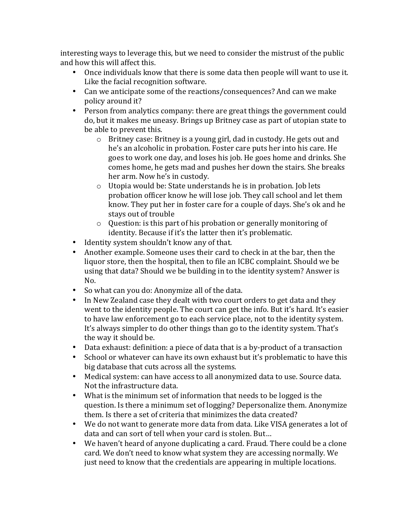interesting ways to leverage this, but we need to consider the mistrust of the public and how this will affect this.

- Once individuals know that there is some data then people will want to use it. Like the facial recognition software.
- Can we anticipate some of the reactions/consequences? And can we make policy around it?
- Person from analytics company: there are great things the government could do, but it makes me uneasy. Brings up Britney case as part of utopian state to be able to prevent this.
	- $\circ$  Britney case: Britney is a young girl, dad in custody. He gets out and he's an alcoholic in probation. Foster care puts her into his care. He goes to work one day, and loses his job. He goes home and drinks. She comes home, he gets mad and pushes her down the stairs. She breaks her arm. Now he's in custody.
	- $\circ$  Utopia would be: State understands he is in probation. Job lets probation officer know he will lose job. They call school and let them know. They put her in foster care for a couple of days. She's ok and he stays out of trouble
	- $\circ$  Question: is this part of his probation or generally monitoring of identity. Because if it's the latter then it's problematic.
- Identity system shouldn't know any of that.
- Another example. Someone uses their card to check in at the bar, then the liquor store, then the hospital, then to file an ICBC complaint. Should we be using that data? Should we be building in to the identity system? Answer is No.
- So what can you do: Anonymize all of the data.
- In New Zealand case they dealt with two court orders to get data and they went to the identity people. The court can get the info. But it's hard. It's easier to have law enforcement go to each service place, not to the identity system. It's always simpler to do other things than go to the identity system. That's the way it should be.
- Data exhaust: definition: a piece of data that is a by-product of a transaction
- School or whatever can have its own exhaust but it's problematic to have this big database that cuts across all the systems.
- Medical system: can have access to all anonymized data to use. Source data. Not the infrastructure data.
- What is the minimum set of information that needs to be logged is the question. Is there a minimum set of logging? Depersonalize them. Anonymize them. Is there a set of criteria that minimizes the data created?
- We do not want to generate more data from data. Like VISA generates a lot of data and can sort of tell when your card is stolen. But...
- We haven't heard of anyone duplicating a card. Fraud. There could be a clone card. We don't need to know what system they are accessing normally. We just need to know that the credentials are appearing in multiple locations.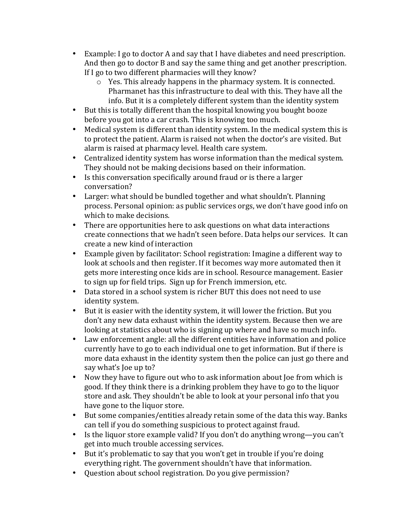- Example: I go to doctor A and say that I have diabetes and need prescription. And then go to doctor B and say the same thing and get another prescription. If  $I$  go to two different pharmacies will they know?
	- $\circ$  Yes. This already happens in the pharmacy system. It is connected. Pharmanet has this infrastructure to deal with this. They have all the info. But it is a completely different system than the identity system
- But this is totally different than the hospital knowing you bought booze before you got into a car crash. This is knowing too much.
- Medical system is different than identity system. In the medical system this is to protect the patient. Alarm is raised not when the doctor's are visited. But alarm is raised at pharmacy level. Health care system.
- Centralized identity system has worse information than the medical system. They should not be making decisions based on their information.
- Is this conversation specifically around fraud or is there a larger conversation?
- Larger: what should be bundled together and what shouldn't. Planning process. Personal opinion: as public services orgs, we don't have good info on which to make decisions.
- There are opportunities here to ask questions on what data interactions create connections that we hadn't seen before. Data helps our services. It can create a new kind of interaction
- Example given by facilitator: School registration: Imagine a different way to look at schools and then register. If it becomes way more automated then it gets more interesting once kids are in school. Resource management. Easier to sign up for field trips. Sign up for French immersion, etc.
- Data stored in a school system is richer BUT this does not need to use identity system.
- But it is easier with the identity system, it will lower the friction. But you don't any new data exhaust within the identity system. Because then we are looking at statistics about who is signing up where and have so much info.
- Law enforcement angle: all the different entities have information and police currently have to go to each individual one to get information. But if there is more data exhaust in the identity system then the police can just go there and say what's loe up to?
- Now they have to figure out who to ask information about [oe from which is good. If they think there is a drinking problem they have to go to the liquor store and ask. They shouldn't be able to look at your personal info that you have gone to the liquor store.
- But some companies/entities already retain some of the data this way. Banks can tell if you do something suspicious to protect against fraud.
- Is the liquor store example valid? If you don't do anything wrong—you can't get into much trouble accessing services.
- But it's problematic to say that you won't get in trouble if you're doing everything right. The government shouldn't have that information.
- Ouestion about school registration. Do you give permission?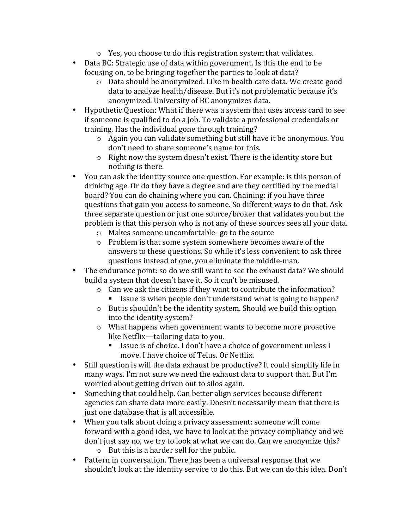- $\circ$  Yes, you choose to do this registration system that validates.
- Data BC: Strategic use of data within government. Is this the end to be focusing on, to be bringing together the parties to look at data?
	- $\circ$  Data should be anonymized. Like in health care data. We create good data to analyze health/disease. But it's not problematic because it's anonymized. University of BC anonymizes data.
- Hypothetic Question: What if there was a system that uses access card to see if someone is qualified to do a job. To validate a professional credentials or training. Has the individual gone through training?
	- $\circ$  Again you can validate something but still have it be anonymous. You don't need to share someone's name for this.
	- $\circ$  Right now the system doesn't exist. There is the identity store but nothing is there.
- You can ask the identity source one question. For example: is this person of drinking age. Or do they have a degree and are they certified by the medial board? You can do chaining where you can. Chaining: if you have three questions that gain you access to someone. So different ways to do that. Ask three separate question or just one source/broker that validates you but the problem is that this person who is not any of these sources sees all your data.
	- $\circ$  Makes someone uncomfortable- go to the source
	- $\circ$  Problem is that some system somewhere becomes aware of the answers to these questions. So while it's less convenient to ask three questions instead of one, you eliminate the middle-man.
- The endurance point: so do we still want to see the exhaust data? We should build a system that doesn't have it. So it can't be misused.
	- $\circ$  Can we ask the citizens if they want to contribute the information?
		- Issue is when people don't understand what is going to happen?
	- $\circ$  But is shouldn't be the identity system. Should we build this option into the identity system?
	- $\circ$  What happens when government wants to become more proactive like Netflix—tailoring data to you.
		- Issue is of choice. I don't have a choice of government unless I move. I have choice of Telus. Or Netflix.
- Still question is will the data exhaust be productive? It could simplify life in many ways. I'm not sure we need the exhaust data to support that. But I'm worried about getting driven out to silos again.
- Something that could help. Can better align services because different agencies can share data more easily. Doesn't necessarily mean that there is just one database that is all accessible.
- When you talk about doing a privacy assessment: someone will come forward with a good idea, we have to look at the privacy compliancy and we don't just say no, we try to look at what we can do. Can we anonymize this?  $\circ$  But this is a harder sell for the public.
- Pattern in conversation. There has been a universal response that we shouldn't look at the identity service to do this. But we can do this idea. Don't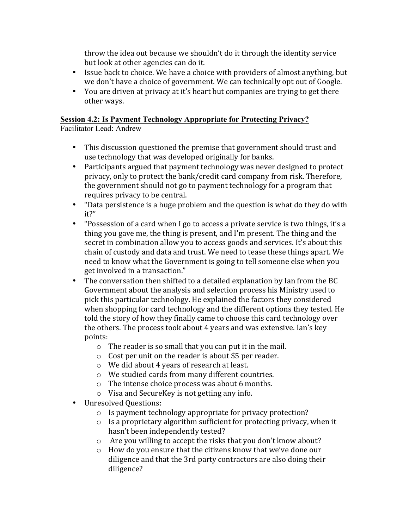throw the idea out because we shouldn't do it through the identity service but look at other agencies can do it.

- Issue back to choice. We have a choice with providers of almost anything, but we don't have a choice of government. We can technically opt out of Google.
- You are driven at privacy at it's heart but companies are trying to get there other ways.

### **Session 4.2: Is Payment Technology Appropriate for Protecting Privacy?**

Facilitator Lead: Andrew

- This discussion questioned the premise that government should trust and use technology that was developed originally for banks.
- Participants argued that payment technology was never designed to protect privacy, only to protect the bank/credit card company from risk. Therefore, the government should not go to payment technology for a program that requires privacy to be central.
- "Data persistence is a huge problem and the question is what do they do with it?"
- "Possession of a card when I go to access a private service is two things, it's a thing you gave me, the thing is present, and I'm present. The thing and the secret in combination allow you to access goods and services. It's about this chain of custody and data and trust. We need to tease these things apart. We need to know what the Government is going to tell someone else when you get involved in a transaction."
- The conversation then shifted to a detailed explanation by Ian from the BC Government about the analysis and selection process his Ministry used to pick this particular technology. He explained the factors they considered when shopping for card technology and the different options they tested. He told the story of how they finally came to choose this card technology over the others. The process took about 4 years and was extensive. Ian's key points:
	- $\circ$  The reader is so small that you can put it in the mail.
	- $\circ$  Cost per unit on the reader is about \$5 per reader.
	- $\circ$  We did about 4 years of research at least.
	- o We studied cards from many different countries.
	- $\circ$  The intense choice process was about 6 months.
	- $\circ$  Visa and SecureKey is not getting any info.
- Unresolved Ouestions:
	- $\circ$  Is payment technology appropriate for privacy protection?
	- $\circ$  Is a proprietary algorithm sufficient for protecting privacy, when it hasn't been independently tested?
	- $\circ$  Are you willing to accept the risks that you don't know about?
	- $\circ$  How do you ensure that the citizens know that we've done our diligence and that the 3rd party contractors are also doing their diligence?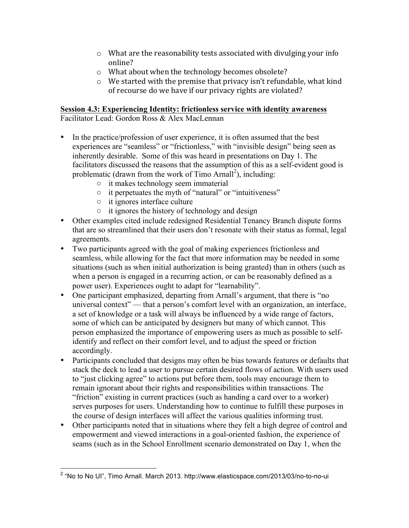- $\circ$  What are the reasonability tests associated with divulging your info online?
- $\circ$  What about when the technology becomes obsolete?
- $\circ$  We started with the premise that privacy isn't refundable, what kind of recourse do we have if our privacy rights are violated?

### **Session 4.3: Experiencing Identity: frictionless service with identity awareness**

Facilitator Lead: Gordon Ross & Alex MacLennan

- In the practice/profession of user experience, it is often assumed that the best experiences are "seamless" or "frictionless," with "invisible design" being seen as inherently desirable. Some of this was heard in presentations on Day 1. The facilitators discussed the reasons that the assumption of this as a self-evident good is problematic (drawn from the work of Timo Arnall<sup>2</sup>), including:
	- it makes technology seem immaterial
	- it perpetuates the myth of "natural" or "intuitiveness"
	- it ignores interface culture
	- it ignores the history of technology and design
- Other examples cited include redesigned Residential Tenancy Branch dispute forms that are so streamlined that their users don't resonate with their status as formal, legal agreements.
- Two participants agreed with the goal of making experiences frictionless and seamless, while allowing for the fact that more information may be needed in some situations (such as when initial authorization is being granted) than in others (such as when a person is engaged in a recurring action, or can be reasonably defined as a power user). Experiences ought to adapt for "learnability".
- One participant emphasized, departing from Arnall's argument, that there is "no universal context" — that a person's comfort level with an organization, an interface, a set of knowledge or a task will always be influenced by a wide range of factors, some of which can be anticipated by designers but many of which cannot. This person emphasized the importance of empowering users as much as possible to selfidentify and reflect on their comfort level, and to adjust the speed or friction accordingly.
- Participants concluded that designs may often be bias towards features or defaults that stack the deck to lead a user to pursue certain desired flows of action. With users used to "just clicking agree" to actions put before them, tools may encourage them to remain ignorant about their rights and responsibilities within transactions. The "friction" existing in current practices (such as handing a card over to a worker) serves purposes for users. Understanding how to continue to fulfill these purposes in the course of design interfaces will affect the various qualities informing trust.
- Other participants noted that in situations where they felt a high degree of control and empowerment and viewed interactions in a goal-oriented fashion, the experience of seams (such as in the School Enrollment scenario demonstrated on Day 1, when the

 <sup>2</sup> "No to No UI", Timo Arnall. March 2013. http://www.elasticspace.com/2013/03/no-to-no-ui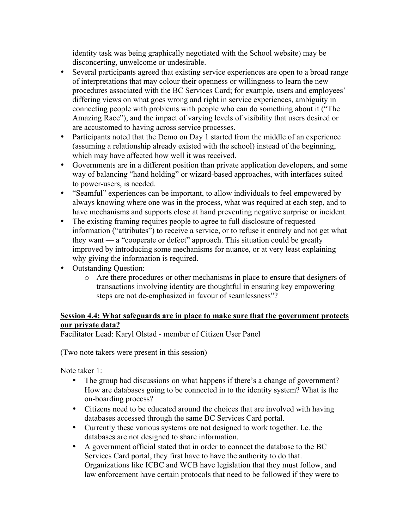identity task was being graphically negotiated with the School website) may be disconcerting, unwelcome or undesirable.

- Several participants agreed that existing service experiences are open to a broad range of interpretations that may colour their openness or willingness to learn the new procedures associated with the BC Services Card; for example, users and employees' differing views on what goes wrong and right in service experiences, ambiguity in connecting people with problems with people who can do something about it ("The Amazing Race"), and the impact of varying levels of visibility that users desired or are accustomed to having across service processes.
- Participants noted that the Demo on Day 1 started from the middle of an experience (assuming a relationship already existed with the school) instead of the beginning, which may have affected how well it was received.
- Governments are in a different position than private application developers, and some way of balancing "hand holding" or wizard-based approaches, with interfaces suited to power-users, is needed.
- "Seamful" experiences can be important, to allow individuals to feel empowered by always knowing where one was in the process, what was required at each step, and to have mechanisms and supports close at hand preventing negative surprise or incident.
- The existing framing requires people to agree to full disclosure of requested information ("attributes") to receive a service, or to refuse it entirely and not get what they want — a "cooperate or defect" approach. This situation could be greatly improved by introducing some mechanisms for nuance, or at very least explaining why giving the information is required.
- Outstanding Question:
	- o Are there procedures or other mechanisms in place to ensure that designers of transactions involving identity are thoughtful in ensuring key empowering steps are not de-emphasized in favour of seamlessness"?

### **Session 4.4: What safeguards are in place to make sure that the government protects our private data?**

Facilitator Lead: Karyl Olstad - member of Citizen User Panel

(Two note takers were present in this session)

Note taker 1:

- The group had discussions on what happens if there's a change of government? How are databases going to be connected in to the identity system? What is the on-boarding process?
- Citizens need to be educated around the choices that are involved with having databases accessed through the same BC Services Card portal.
- Currently these various systems are not designed to work together. I.e. the databases are not designed to share information.
- A government official stated that in order to connect the database to the BC Services Card portal, they first have to have the authority to do that. Organizations like ICBC and WCB have legislation that they must follow, and law enforcement have certain protocols that need to be followed if they were to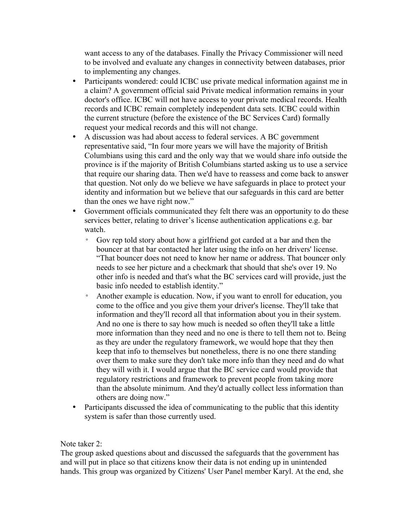want access to any of the databases. Finally the Privacy Commissioner will need to be involved and evaluate any changes in connectivity between databases, prior to implementing any changes.

- Participants wondered: could ICBC use private medical information against me in a claim? A government official said Private medical information remains in your doctor's office. ICBC will not have access to your private medical records. Health records and ICBC remain completely independent data sets. ICBC could within the current structure (before the existence of the BC Services Card) formally request your medical records and this will not change.
- A discussion was had about access to federal services. A BC government representative said, "In four more years we will have the majority of British Columbians using this card and the only way that we would share info outside the province is if the majority of British Columbians started asking us to use a service that require our sharing data. Then we'd have to reassess and come back to answer that question. Not only do we believe we have safeguards in place to protect your identity and information but we believe that our safeguards in this card are better than the ones we have right now."
- Government officials communicated they felt there was an opportunity to do these services better, relating to driver's license authentication applications e.g. bar watch.
	- Gov rep told story about how a girlfriend got carded at a bar and then the bouncer at that bar contacted her later using the info on her drivers' license. "That bouncer does not need to know her name or address. That bouncer only needs to see her picture and a checkmark that should that she's over 19. No other info is needed and that's what the BC services card will provide, just the basic info needed to establish identity."
	- Another example is education. Now, if you want to enroll for education, you come to the office and you give them your driver's license. They'll take that information and they'll record all that information about you in their system. And no one is there to say how much is needed so often they'll take a little more information than they need and no one is there to tell them not to. Being as they are under the regulatory framework, we would hope that they then keep that info to themselves but nonetheless, there is no one there standing over them to make sure they don't take more info than they need and do what they will with it. I would argue that the BC service card would provide that regulatory restrictions and framework to prevent people from taking more than the absolute minimum. And they'd actually collect less information than others are doing now."
- Participants discussed the idea of communicating to the public that this identity system is safer than those currently used.

Note taker 2:

The group asked questions about and discussed the safeguards that the government has and will put in place so that citizens know their data is not ending up in unintended hands. This group was organized by Citizens' User Panel member Karyl. At the end, she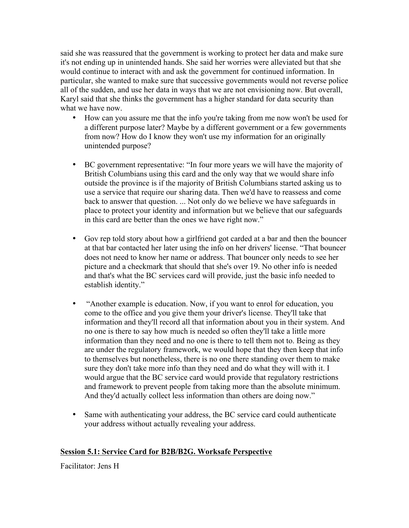said she was reassured that the government is working to protect her data and make sure it's not ending up in unintended hands. She said her worries were alleviated but that she would continue to interact with and ask the government for continued information. In particular, she wanted to make sure that successive governments would not reverse police all of the sudden, and use her data in ways that we are not envisioning now. But overall, Karyl said that she thinks the government has a higher standard for data security than what we have now.

- How can you assure me that the info you're taking from me now won't be used for a different purpose later? Maybe by a different government or a few governments from now? How do I know they won't use my information for an originally unintended purpose?
- BC government representative: "In four more years we will have the majority of British Columbians using this card and the only way that we would share info outside the province is if the majority of British Columbians started asking us to use a service that require our sharing data. Then we'd have to reassess and come back to answer that question. ... Not only do we believe we have safeguards in place to protect your identity and information but we believe that our safeguards in this card are better than the ones we have right now."
- Gov rep told story about how a girlfriend got carded at a bar and then the bouncer at that bar contacted her later using the info on her drivers' license. "That bouncer does not need to know her name or address. That bouncer only needs to see her picture and a checkmark that should that she's over 19. No other info is needed and that's what the BC services card will provide, just the basic info needed to establish identity."
- "Another example is education. Now, if you want to enrol for education, you come to the office and you give them your driver's license. They'll take that information and they'll record all that information about you in their system. And no one is there to say how much is needed so often they'll take a little more information than they need and no one is there to tell them not to. Being as they are under the regulatory framework, we would hope that they then keep that info to themselves but nonetheless, there is no one there standing over them to make sure they don't take more info than they need and do what they will with it. I would argue that the BC service card would provide that regulatory restrictions and framework to prevent people from taking more than the absolute minimum. And they'd actually collect less information than others are doing now."
- Same with authenticating your address, the BC service card could authenticate your address without actually revealing your address.

### **Session 5.1: Service Card for B2B/B2G. Worksafe Perspective**

Facilitator: Jens H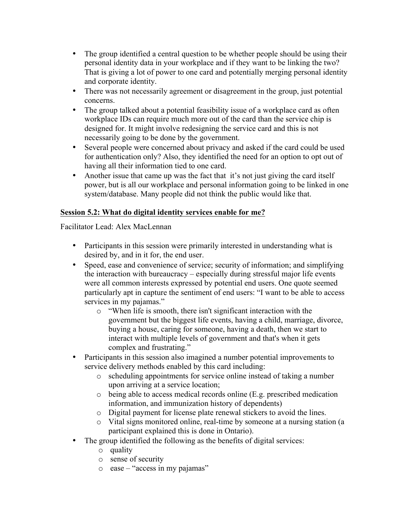- The group identified a central question to be whether people should be using their personal identity data in your workplace and if they want to be linking the two? That is giving a lot of power to one card and potentially merging personal identity and corporate identity.
- There was not necessarily agreement or disagreement in the group, just potential concerns.
- The group talked about a potential feasibility issue of a workplace card as often workplace IDs can require much more out of the card than the service chip is designed for. It might involve redesigning the service card and this is not necessarily going to be done by the government.
- Several people were concerned about privacy and asked if the card could be used for authentication only? Also, they identified the need for an option to opt out of having all their information tied to one card.
- Another issue that came up was the fact that it's not just giving the card itself power, but is all our workplace and personal information going to be linked in one system/database. Many people did not think the public would like that.

### **Session 5.2: What do digital identity services enable for me?**

Facilitator Lead: Alex MacLennan

- Participants in this session were primarily interested in understanding what is desired by, and in it for, the end user.
- Speed, ease and convenience of service; security of information; and simplifying the interaction with bureaucracy – especially during stressful major life events were all common interests expressed by potential end users. One quote seemed particularly apt in capture the sentiment of end users: "I want to be able to access services in my pajamas."
	- o "When life is smooth, there isn't significant interaction with the government but the biggest life events, having a child, marriage, divorce, buying a house, caring for someone, having a death, then we start to interact with multiple levels of government and that's when it gets complex and frustrating."
- Participants in this session also imagined a number potential improvements to service delivery methods enabled by this card including:
	- o scheduling appointments for service online instead of taking a number upon arriving at a service location;
	- o being able to access medical records online (E.g. prescribed medication information, and immunization history of dependents)
	- o Digital payment for license plate renewal stickers to avoid the lines.
	- o Vital signs monitored online, real-time by someone at a nursing station (a participant explained this is done in Ontario).
- The group identified the following as the benefits of digital services:
	- o quality
	- o sense of security
	- $\circ$  ease "access in my pajamas"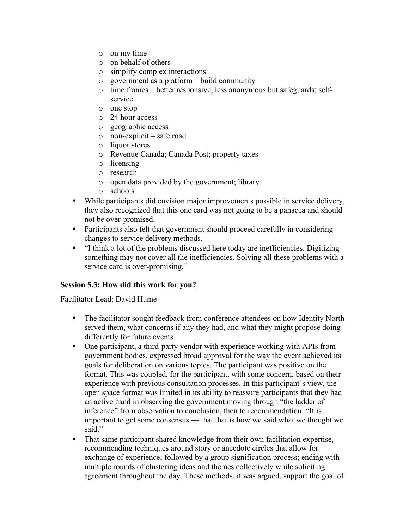- o on my time
- o on behalf of others
- o simplify complex interactions
- o government as a platform build community
- o time frames better responsive, less anonymous but safeguards; selfservice
- o one stop
- o 24 hour access
- o geographic access
- o non-explicit safe road
- o liquor stores
- o Revenue Canada; Canada Post; property taxes
- o licensing
- o research
- o open data provided by the government; library
- o schools
- While participants did envision major improvements possible in service delivery, they also recognized that this one card was not going to be a panacea and should not be over-promised.
- Participants also felt that government should proceed carefully in considering changes to service delivery methods.
- "I think a lot of the problems discussed here today are inefficiencies. Digitizing something may not cover all the inefficiencies. Solving all these problems with a service card is over-promising."

### **Session 5.3: How did this work for you?**

Facilitator Lead: David Hume

- The facilitator sought feedback from conference attendees on how Identity North served them, what concerns if any they had, and what they might propose doing differently for future events.
- One participant, a third-party vendor with experience working with APIs from government bodies, expressed broad approval for the way the event achieved its goals for deliberation on various topics. The participant was positive on the format. This was coupled, for the participant, with some concern, based on their experience with previous consultation processes. In this participant's view, the open space format was limited in its ability to reassure participants that they had an active hand in observing the government moving through "the ladder of inference" from observation to conclusion, then to recommendation. "It is important to get some consensus — that that is how we said what we thought we said."
- That same participant shared knowledge from their own facilitation expertise, recommending techniques around story or anecdote circles that allow for exchange of experience; followed by a group signification process; ending with multiple rounds of clustering ideas and themes collectively while soliciting agreement throughout the day. These methods, it was argued, support the goal of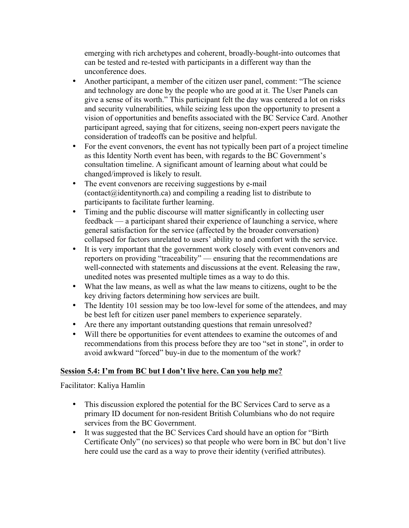emerging with rich archetypes and coherent, broadly-bought-into outcomes that can be tested and re-tested with participants in a different way than the unconference does.

- Another participant, a member of the citizen user panel, comment: "The science and technology are done by the people who are good at it. The User Panels can give a sense of its worth." This participant felt the day was centered a lot on risks and security vulnerabilities, while seizing less upon the opportunity to present a vision of opportunities and benefits associated with the BC Service Card. Another participant agreed, saying that for citizens, seeing non-expert peers navigate the consideration of tradeoffs can be positive and helpful.
- For the event convenors, the event has not typically been part of a project timeline as this Identity North event has been, with regards to the BC Government's consultation timeline. A significant amount of learning about what could be changed/improved is likely to result.
- The event convenors are receiving suggestions by e-mail  $(contact(\vec{a})$  identity north.ca) and compiling a reading list to distribute to participants to facilitate further learning.
- Timing and the public discourse will matter significantly in collecting user feedback — a participant shared their experience of launching a service, where general satisfaction for the service (affected by the broader conversation) collapsed for factors unrelated to users' ability to and comfort with the service.
- It is very important that the government work closely with event convenors and reporters on providing "traceability" — ensuring that the recommendations are well-connected with statements and discussions at the event. Releasing the raw, unedited notes was presented multiple times as a way to do this.
- What the law means, as well as what the law means to citizens, ought to be the key driving factors determining how services are built.
- The Identity 101 session may be too low-level for some of the attendees, and may be best left for citizen user panel members to experience separately.
- Are there any important outstanding questions that remain unresolved?
- Will there be opportunities for event attendees to examine the outcomes of and recommendations from this process before they are too "set in stone", in order to avoid awkward "forced" buy-in due to the momentum of the work?

# **Session 5.4: I'm from BC but I don't live here. Can you help me?**

Facilitator: Kaliya Hamlin

- This discussion explored the potential for the BC Services Card to serve as a primary ID document for non-resident British Columbians who do not require services from the BC Government.
- It was suggested that the BC Services Card should have an option for "Birth Certificate Only" (no services) so that people who were born in BC but don't live here could use the card as a way to prove their identity (verified attributes).